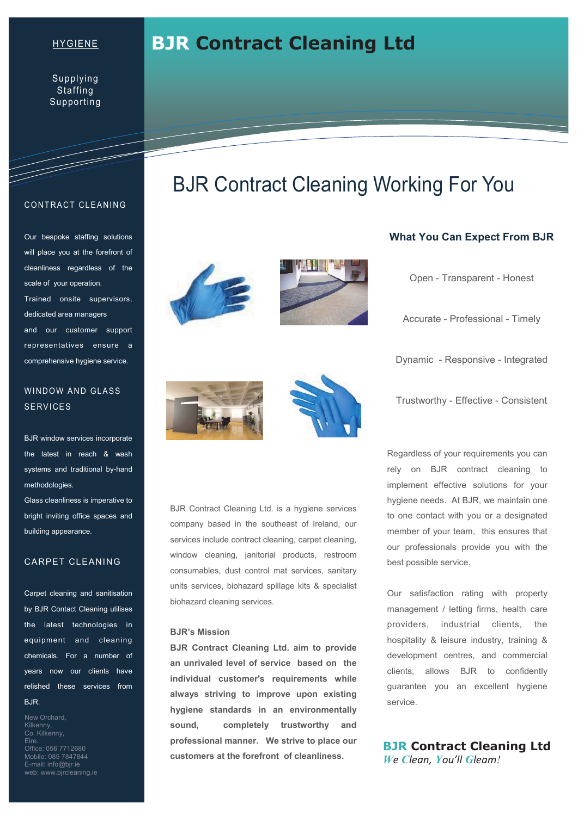## HYGIENE

Supplying **Staffing** Supporting

#### **CONTRACT CLEANING**

T

Our bespoke staffing solutions will place you at the forefront of cleanliness regardless of the scale of your operation. Trained onsite supervisors, dedicated area managers and our customer support representatives ensure a comprehensive hygiene service.

## WINDOW AND GLASS **SERVICES**

BJR window services incorporate the latest in reach & wash systems and traditional by-hand methodologies.

Glass cleanliness is imperative to bright inviting office spaces and building appearance.

## CARPET CLEANING

Carpet cleaning and sanitisation by BJR Contact Cleaning utilises the latest technologies in equipment and cleaning chemicals. For a number of years now our clients have relished these services from BJR.

New Orchard, Kilkenny, Co. Kilkenny, Eire. Office: 056 7712680 Mobile: 085 7847844 E-mail: info@bjr.ie web: www.bjrcleaning.ie

# BJR Contract Cleaning Working For You

**BJR Contract Cleaning Ltd** 







## **What You Can Expect From BJR**

Open - Transparent - Honest

Accurate - Professional - Timely

Dynamic - Responsive - Integrated

Trustworthy - Effective - Consistent

BJR Contract Cleaning Ltd. is a hygiene services company based in the southeast of Ireland, our services include contract cleaning, carpet cleaning, window cleaning, janitorial products, restroom consumables, dust control mat services, sanitary units services, biohazard spillage kits & specialist biohazard cleaning services.

## **BJR's Mission**

**BJR Contract Cleaning Ltd. aim to provide an unrivaled level of service based on the individual customer's requirements while always striving to improve upon existing hygiene standards in an environmentally sound, completely trustworthy and professional manner. We strive to place our customers at the forefront of cleanliness.** 

Regardless of your requirements you can rely on BJR contract cleaning to implement effective solutions for your hygiene needs. At BJR, we maintain one to one contact with you or a designated member of your team, this ensures that our professionals provide you with the best possible service.

Our satisfaction rating with property management / letting firms, health care providers, industrial clients, the hospitality & leisure industry, training & development centres, and commercial clients, allows BJR to confidently guarantee you an excellent hygiene service.

# **BJR Contract Cleaning Ltd**  *We Clean, You'll Gleam!*